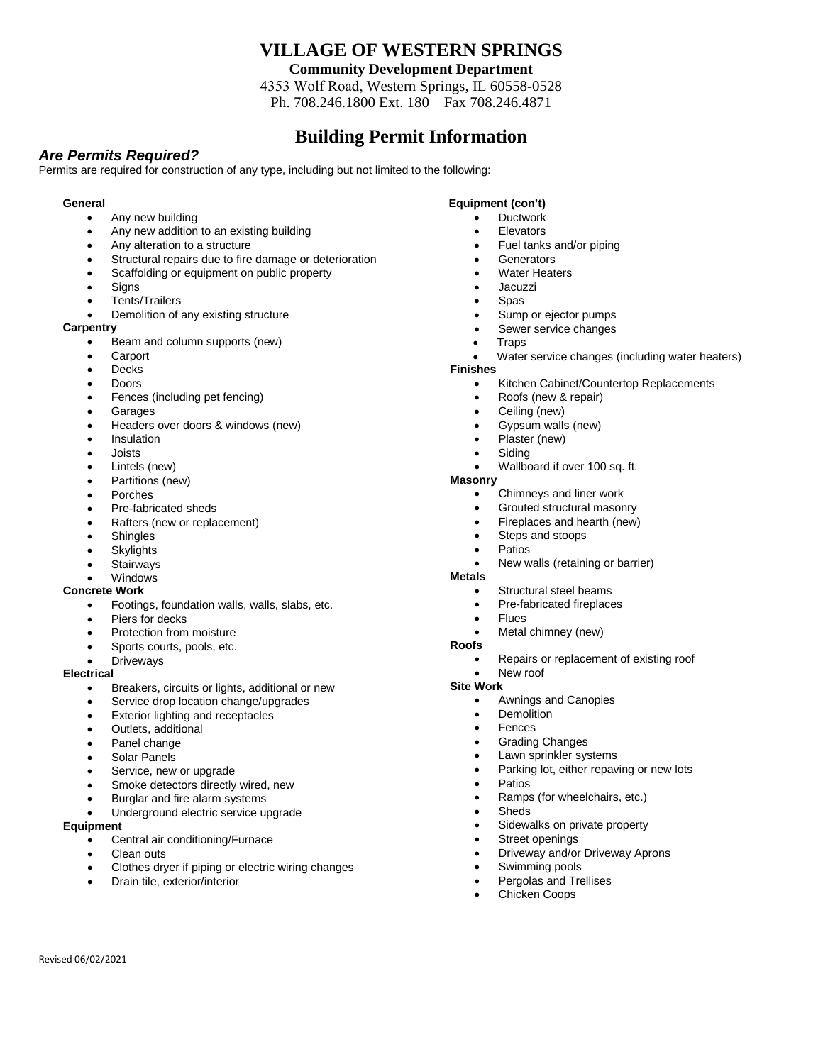# **VILLAGE OF WESTERN SPRINGS**

**Community Development Department** 

4353 Wolf Road, Western Springs, IL 60558-0528 Ph. 708.246.1800 Ext. 180 Fax 708.246.4871

# **Building Permit Information**

### *Are Permits Required?*

Permits are required for construction of any type, including but not limited to the following:

### **General**

- Any new building
- Any new addition to an existing building
- Any alteration to a structure
- Structural repairs due to fire damage or deterioration
- Scaffolding or equipment on public property
- **Signs**
- Tents/Trailers
- Demolition of any existing structure

### **Carpentry**

- Beam and column supports (new)
- **Carport**
- **Decks**
- Doors
- Fences (including pet fencing)
- **Garages**
- Headers over doors & windows (new)
- **Insulation**
- Joists
- Lintels (new)
- Partitions (new)
- Porches
- Pre-fabricated sheds
- Rafters (new or replacement)
- **Shingles**
- **Skylights**
- **Stairways**
- Windows

#### **Concrete Work**

- Footings, foundation walls, walls, slabs, etc.
- Piers for decks
- Protection from moisture
- Sports courts, pools, etc.
- **Driveways**

#### **Electrical**

- Breakers, circuits or lights, additional or new
- Service drop location change/upgrades
- Exterior lighting and receptacles
- Outlets, additional
- Panel change
- Solar Panels
- Service, new or upgrade
- Smoke detectors directly wired, new
- Burglar and fire alarm systems
- Underground electric service upgrade

#### **Equipment**

Revised 06/02/2021

- Central air conditioning/Furnace
- Clean outs
- Clothes dryer if piping or electric wiring changes
- Drain tile, exterior/interior

### **Equipment (con't)**

- Ductwork
- **Elevators**
- Fuel tanks and/or piping
- **Generators**
- **Water Heaters**
- Jacuzzi
- Spas
- Sump or ejector pumps
- Sewer service changes
- Traps
- Water service changes (including water heaters)

## **Finishes**

- Kitchen Cabinet/Countertop Replacements
- Roofs (new & repair)
- Ceiling (new)
- Gypsum walls (new)
- Plaster (new)
- Siding
- Wallboard if over 100 sq. ft.

### **Masonry**

- Chimneys and liner work
- Grouted structural masonry
- Fireplaces and hearth (new)
- Steps and stoops
- **Patios**
- New walls (retaining or barrier)

#### **Metals**

- Structural steel beams
- Pre-fabricated fireplaces
- Flues
- Metal chimney (new)
- **Roofs**
	- Repairs or replacement of existing roof
- New roof
- **Site Work**
	- Awnings and Canopies
	- **Demolition**
	- **Fences**
	- Grading Changes
	- Lawn sprinkler systems

Street openings

Swimming pools Pergolas and Trellises Chicken Coops

Parking lot, either repaving or new lots

• Ramps (for wheelchairs, etc.)

Sidewalks on private property

• Driveway and/or Driveway Aprons

**Patios** 

**Sheds**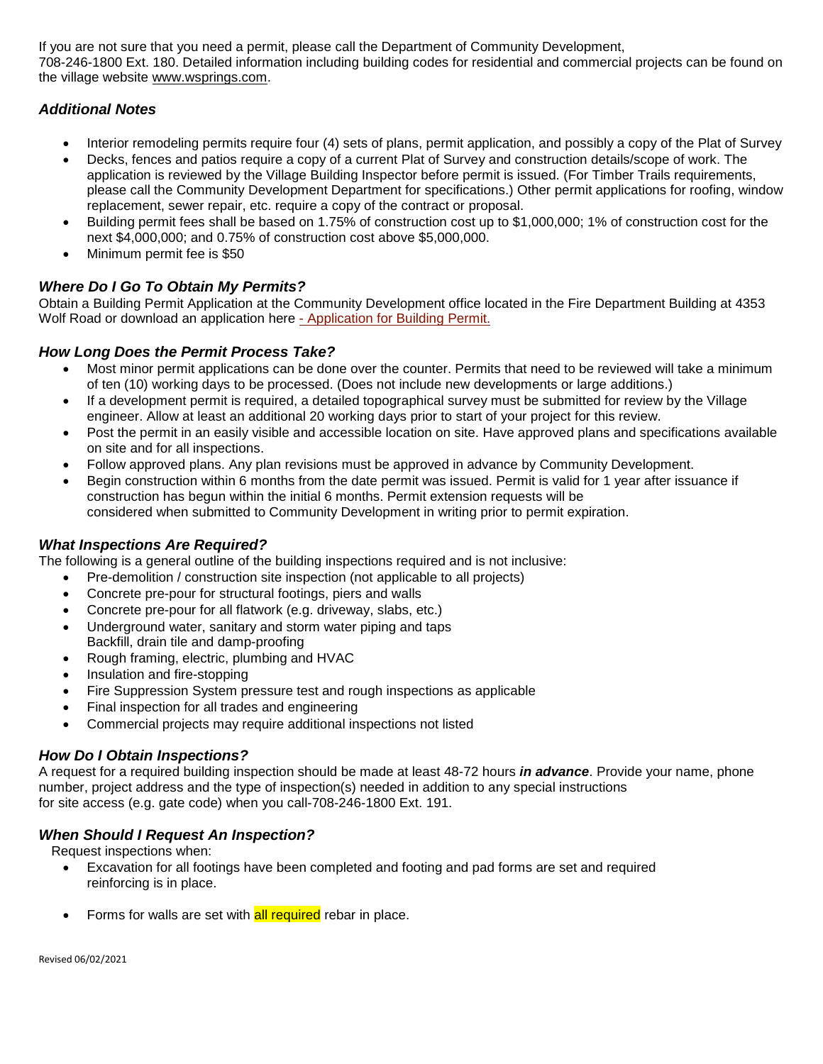If you are not sure that you need a permit, please call the Department of Community Development, 708-246-1800 Ext. 180. Detailed information including building codes for residential and commercial projects can be found on the village website [www.wsprings.com.](http://www.wsprings.com/)

# *Additional Notes*

- Interior remodeling permits require four (4) sets of plans, permit application, and possibly a copy of the Plat of Survey
- Decks, fences and patios require a copy of a current Plat of Survey and construction details/scope of work. The application is reviewed by the Village Building Inspector before permit is issued. (For Timber Trails requirements, please call the Community Development Department for specifications.) Other permit applications for roofing, window replacement, sewer repair, etc. require a copy of the contract or proposal.
- Building permit fees shall be based on 1.75% of construction cost up to \$1,000,000; 1% of construction cost for the next \$4,000,000; and 0.75% of construction cost above \$5,000,000.
- Minimum permit fee is \$50

# *Where Do I Go To Obtain My Permits?*

Obtain a Building Permit Application at the Community Development office located in the Fire Department Building at 4353 Wolf Road or download an application here [- Application for Building Permit.](http://il-westernsprings2.civicplus.com/DocumentCenter/View/48/Building-Permit-Application)

## *How Long Does the Permit Process Take?*

- Most minor permit applications can be done over the counter. Permits that need to be reviewed will take a minimum of ten (10) working days to be processed. (Does not include new developments or large additions.)
- If a development permit is required, a detailed topographical survey must be submitted for review by the Village engineer. Allow at least an additional 20 working days prior to start of your project for this review.
- Post the permit in an easily visible and accessible location on site. Have approved plans and specifications available on site and for all inspections.
- Follow approved plans. Any plan revisions must be approved in advance by Community Development.
- Begin construction within 6 months from the date permit was issued. Permit is valid for 1 year after issuance if construction has begun within the initial 6 months. Permit extension requests will be considered when submitted to Community Development in writing prior to permit expiration.

### *What Inspections Are Required?*

The following is a general outline of the building inspections required and is not inclusive:

- Pre-demolition / construction site inspection (not applicable to all projects)
- Concrete pre-pour for structural footings, piers and walls
- Concrete pre-pour for all flatwork (e.g. driveway, slabs, etc.)
- Underground water, sanitary and storm water piping and taps Backfill, drain tile and damp-proofing
- Rough framing, electric, plumbing and HVAC
- Insulation and fire-stopping
- Fire Suppression System pressure test and rough inspections as applicable
- Final inspection for all trades and engineering
- Commercial projects may require additional inspections not listed

# *How Do I Obtain Inspections?*

A request for a required building inspection should be made at least 48-72 hours *in advance*. Provide your name, phone number, project address and the type of inspection(s) needed in addition to any special instructions for site access (e.g. gate code) when you call-708-246-1800 Ext. 191.

# *When Should I Request An Inspection?*

Request inspections when:

- Excavation for all footings have been completed and footing and pad forms are set and required reinforcing is in place.
- Forms for walls are set with all required rebar in place.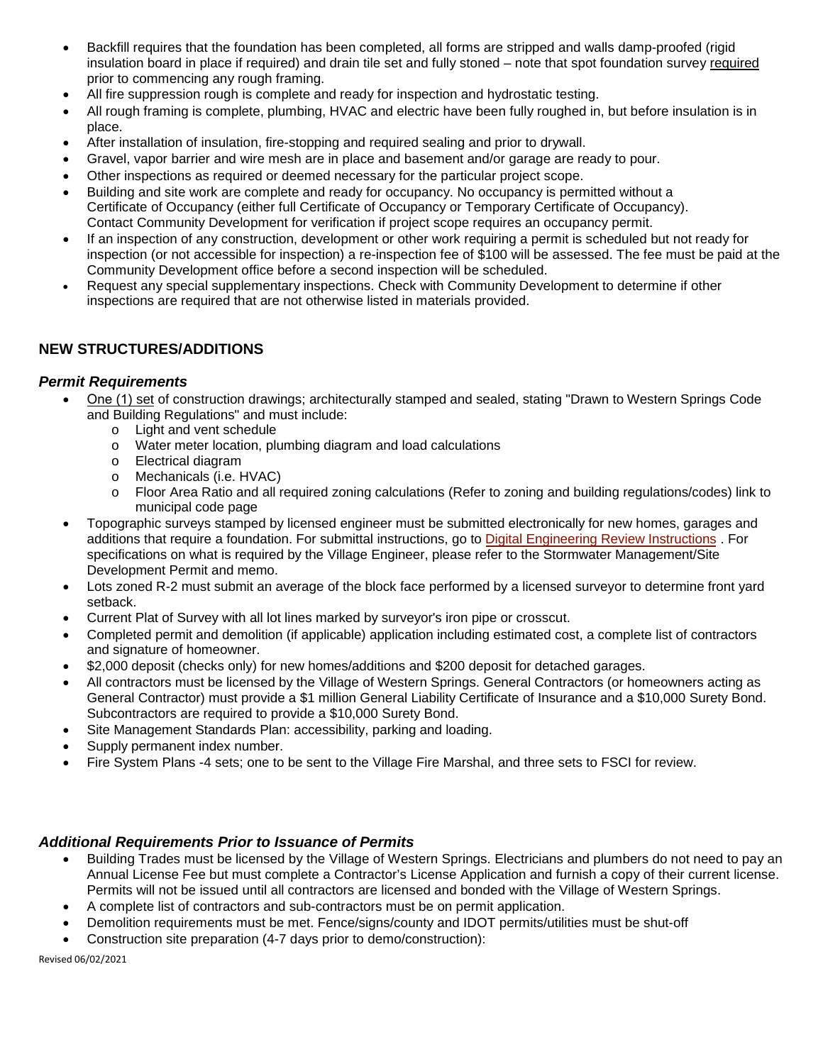- Backfill requires that the foundation has been completed, all forms are stripped and walls damp-proofed (rigid insulation board in place if required) and drain tile set and fully stoned – note that spot foundation survey required prior to commencing any rough framing.
- All fire suppression rough is complete and ready for inspection and hydrostatic testing.
- All rough framing is complete, plumbing, HVAC and electric have been fully roughed in, but before insulation is in place.
- After installation of insulation, fire-stopping and required sealing and prior to drywall.
- Gravel, vapor barrier and wire mesh are in place and basement and/or garage are ready to pour.
- Other inspections as required or deemed necessary for the particular project scope.
- Building and site work are complete and ready for occupancy. No occupancy is permitted without a Certificate of Occupancy (either full Certificate of Occupancy or Temporary Certificate of Occupancy). Contact Community Development for verification if project scope requires an occupancy permit.
- If an inspection of any construction, development or other work requiring a permit is scheduled but not ready for inspection (or not accessible for inspection) a re-inspection fee of \$100 will be assessed. The fee must be paid at the Community Development office before a second inspection will be scheduled.
- Request any special supplementary inspections. Check with Community Development to determine if other inspections are required that are not otherwise listed in materials provided.

# **NEW STRUCTURES/ADDITIONS**

### *Permit Requirements*

- One (1) set of construction drawings; architecturally stamped and sealed, stating "Drawn to Western Springs Code and Building Regulations" and must include:
	- o Light and vent schedule
	- o Water meter location, plumbing diagram and load calculations
	- o Electrical diagram
	- o Mechanicals (i.e. HVAC)
	- o Floor Area Ratio and all required zoning calculations (Refer to zoning and building regulations/codes) link to municipal code page
- Topographic surveys stamped by licensed engineer must be submitted electronically for new homes, garages and additions that require a foundation. For submittal instructions, go to [Digital Engineering Review Instructions](http://www.wsprings.com/DocumentCenter/View/4754/Digital-Engineering-Review-Process?bidId=) . For specifications on what is required by the Village Engineer, please refer to the Stormwater Management/Site Development Permit and memo.
- Lots zoned R-2 must submit an average of the block face performed by a licensed surveyor to determine front yard setback.
- Current Plat of Survey with all lot lines marked by surveyor's iron pipe or crosscut.
- Completed permit and demolition (if applicable) application including estimated cost, a complete list of contractors and signature of homeowner.
- \$2,000 deposit (checks only) for new homes/additions and \$200 deposit for detached garages.
- All contractors must be licensed by the Village of Western Springs. General Contractors (or homeowners acting as General Contractor) must provide a \$1 million General Liability Certificate of Insurance and a \$10,000 Surety Bond. Subcontractors are required to provide a \$10,000 Surety Bond.
- Site Management Standards Plan: accessibility, parking and loading.
- Supply permanent index number.
- Fire System Plans -4 sets; one to be sent to the Village Fire Marshal, and three sets to FSCI for review.

### *Additional Requirements Prior to Issuance of Permits*

- Building Trades must be licensed by the Village of Western Springs. Electricians and plumbers do not need to pay an Annual License Fee but must complete a Contractor's License Application and furnish a copy of their current license. Permits will not be issued until all contractors are licensed and bonded with the Village of Western Springs.
- A complete list of contractors and sub-contractors must be on permit application.
- Demolition requirements must be met. Fence/signs/county and IDOT permits/utilities must be shut-off
- Construction site preparation (4-7 days prior to demo/construction):

Revised 06/02/2021